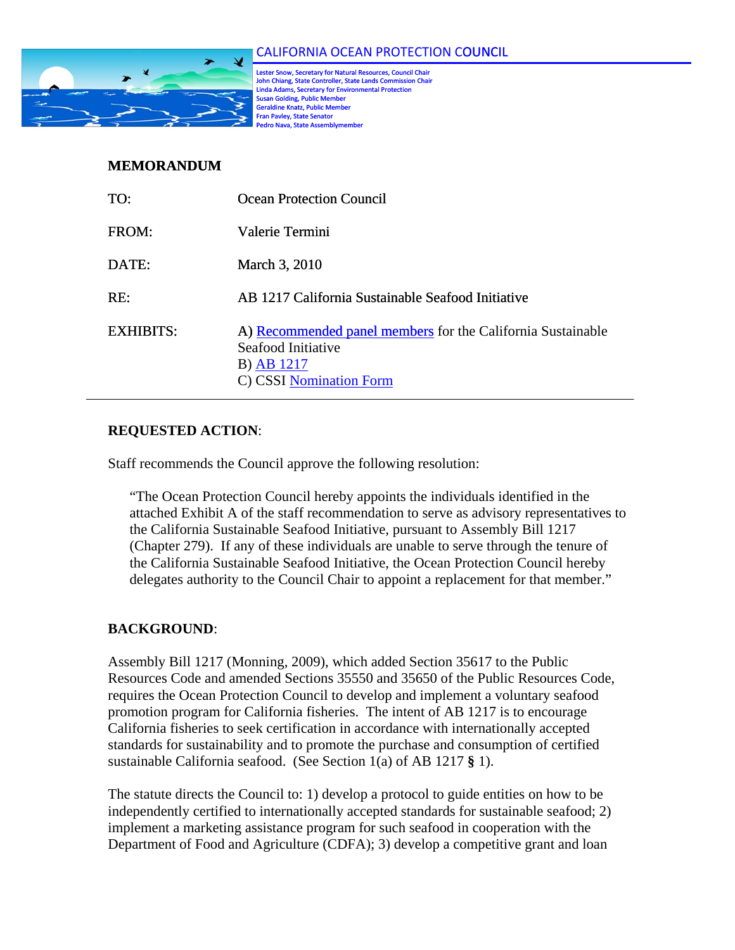

Lester Snow, Secretary for Natural Resources, Council Chair John Chiang, State Controller, State Lands Commission Chair John Chiang, State Controller, State Lands Commission Chair<br>Linda Adams, Secretary for Environmental Protection<br>Susan Golding, Public Member **Fran Pavley, State Senator** r Geraldine Knatz, Public Membe **Pedro Nava, State Assembly** 

## **MEMORANDUM**

| TO:              | Ocean Protection Council                                                                                                   |
|------------------|----------------------------------------------------------------------------------------------------------------------------|
| FROM:            | Valerie Termini                                                                                                            |
| DATE:            | March 3, 2010                                                                                                              |
| RE:              | AB 1217 California Sustainable Seafood Initiative                                                                          |
| <b>EXHIBITS:</b> | A) Recommended panel members for the California Sustainable<br>Seafood Initiative<br>B) AB 1217<br>C) CSSI Nomination Form |

## **REQUESTED ACTION**:

Staff recommends the Council approve the following resolution:

"The Ocean Protection Council hereby appoints the individuals identified in the attached Exhibit A of the staff recommendation to serve as advisory representatives to the California Sustainable Seafood Initiative, pursuant to Assembly Bill 1217 (Chapter 279). If any of these individuals are unable to serve through the tenure of the California Sustainable Seafood Initiative, the Ocean Protection Council hereby delegates authority to the Council Chair to appoint a replacement for that member."

#### **BACKGROUND**:

Assembly Bill 1217 (Monning, 2009), which added Section 35617 to the Public Resources Code and amended Sections 35550 and 35650 of the Public Resources Code, requires the Ocean Protection Council to develop and implement a voluntary seafood promotion program for California fisheries. The intent of AB 1217 is to encourage California fisheries to seek certification in accordance with internationally accepted standards for sustainability and to promote the purchase and consumption of certified sustainable California seafood. (See Section 1(a) of AB 1217 **§** 1).

The statute directs the Council to: 1) develop a protocol to guide entities on how to be independently certified to internationally accepted standards for sustainable seafood; 2) implement a marketing assistance program for such seafood in cooperation with the Department of Food and Agriculture (CDFA); 3) develop a competitive grant and loan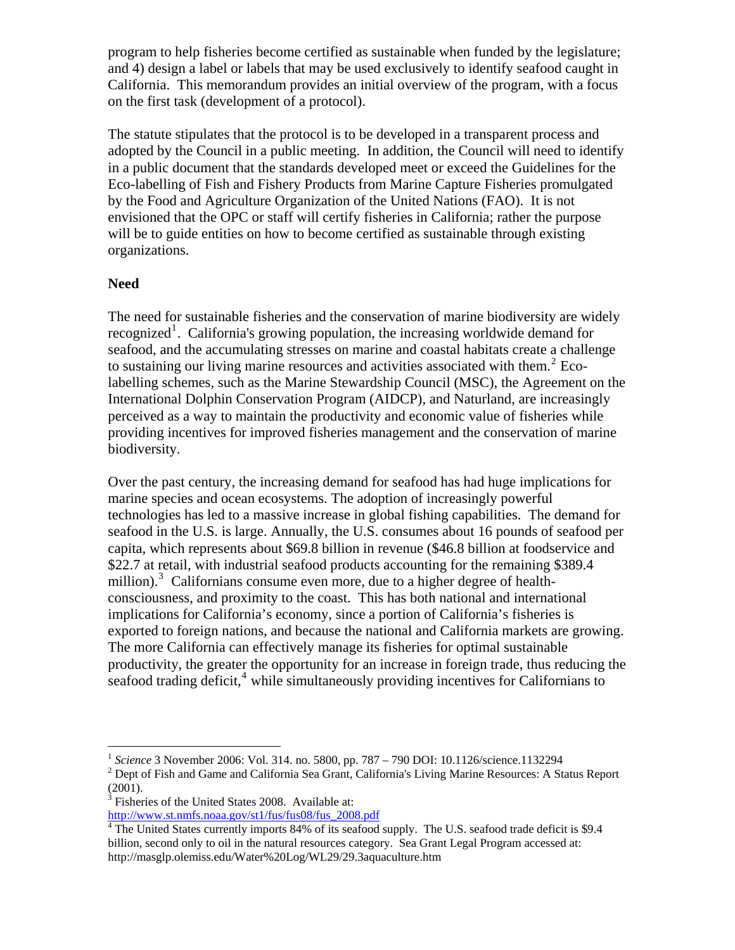program to help fisheries become certified as sustainable when funded by the legislature; and 4) design a label or labels that may be used exclusively to identify seafood caught in California. This memorandum provides an initial overview of the program, with a focus on the first task (development of a protocol).

The statute stipulates that the protocol is to be developed in a transparent process and adopted by the Council in a public meeting. In addition, the Council will need to identify in a public document that the standards developed meet or exceed the Guidelines for the Eco-labelling of Fish and Fishery Products from Marine Capture Fisheries promulgated by the Food and Agriculture Organization of the United Nations (FAO). It is not envisioned that the OPC or staff will certify fisheries in California; rather the purpose will be to guide entities on how to become certified as sustainable through existing organizations.

## **Need**

 $\overline{a}$ 

The need for sustainable fisheries and the conservation of marine biodiversity are widely recognized<sup>[1](#page-1-0)</sup>. California's growing population, the increasing worldwide demand for seafood, and the accumulating stresses on marine and coastal habitats create a challenge to sustaining our living marine resources and activities associated with them.<sup>[2](#page-1-1)</sup> Ecolabelling schemes, such as the Marine Stewardship Council (MSC), the Agreement on the International Dolphin Conservation Program (AIDCP), and Naturland, are increasingly perceived as a way to maintain the productivity and economic value of fisheries while providing incentives for improved fisheries management and the conservation of marine biodiversity.

Over the past century, the increasing demand for seafood has had huge implications for marine species and ocean ecosystems. The adoption of increasingly powerful technologies has led to a massive increase in global fishing capabilities. The demand for seafood in the U.S. is large. Annually, the U.S. consumes about 16 pounds of seafood per capita, which represents about \$69.8 billion in revenue (\$46.8 billion at foodservice and \$22.7 at retail, with industrial seafood products accounting for the remaining \$389.4 million).<sup>[3](#page-1-2)</sup> Californians consume even more, due to a higher degree of healthconsciousness, and proximity to the coast. This has both national and international implications for California's economy, since a portion of California's fisheries is exported to foreign nations, and because the national and California markets are growing. The more California can effectively manage its fisheries for optimal sustainable productivity, the greater the opportunity for an increase in foreign trade, thus reducing the  $s$ eafood trading deficit, $\frac{4}{3}$  $\frac{4}{3}$  $\frac{4}{3}$  while simultaneously providing incentives for Californians to

<span id="page-1-2"></span><sup>3</sup> Fisheries of the United States 2008. Available at:

[http://www.st.nmfs.noaa.gov/st1/fus/fus08/fus\\_2008.pdf](http://www.st.nmfs.noaa.gov/st1/fus/fus08/fus_2008.pdf)

<span id="page-1-0"></span><sup>1</sup> *Science* 3 November 2006: Vol. 314. no. 5800, pp. 787 – 790 DOI: 10.1126/science.1132294 2

<span id="page-1-1"></span><sup>&</sup>lt;sup>2</sup> Dept of Fish and Game and California Sea Grant, California's Living Marine Resources: A Status Report (2001).

<span id="page-1-3"></span><sup>&</sup>lt;sup>4</sup> The United States currently imports 84% of its seafood supply. The U.S. seafood trade deficit is \$9.4 billion, second only to oil in the natural resources category. Sea Grant Legal Program accessed at: http://masglp.olemiss.edu/Water%20Log/WL29/29.3aquaculture.htm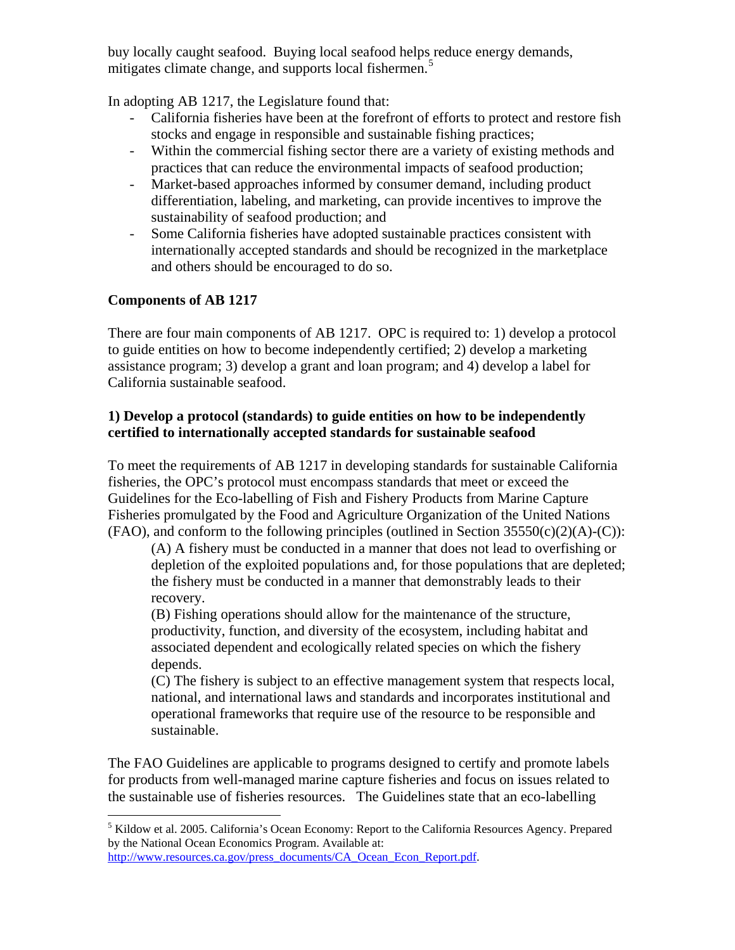buy locally caught seafood. Buying local seafood helps reduce energy demands, mitigates climate change, and supports local fishermen.<sup>[5](#page-2-0)</sup>

In adopting AB 1217, the Legislature found that:

- California fisheries have been at the forefront of efforts to protect and restore fish stocks and engage in responsible and sustainable fishing practices;
- Within the commercial fishing sector there are a variety of existing methods and practices that can reduce the environmental impacts of seafood production;
- Market-based approaches informed by consumer demand, including product differentiation, labeling, and marketing, can provide incentives to improve the sustainability of seafood production; and
- Some California fisheries have adopted sustainable practices consistent with internationally accepted standards and should be recognized in the marketplace and others should be encouraged to do so.

# **Components of AB 1217**

There are four main components of AB 1217. OPC is required to: 1) develop a protocol to guide entities on how to become independently certified; 2) develop a marketing assistance program; 3) develop a grant and loan program; and 4) develop a label for California sustainable seafood.

## **1) Develop a protocol (standards) to guide entities on how to be independently certified to internationally accepted standards for sustainable seafood**

To meet the requirements of AB 1217 in developing standards for sustainable California fisheries, the OPC's protocol must encompass standards that meet or exceed the Guidelines for the Eco-labelling of Fish and Fishery Products from Marine Capture Fisheries promulgated by the Food and Agriculture Organization of the United Nations  $(FAO)$ , and conform to the following principles (outlined in Section 35550(c)(2)(A)-(C)):

(A) A fishery must be conducted in a manner that does not lead to overfishing or depletion of the exploited populations and, for those populations that are depleted; the fishery must be conducted in a manner that demonstrably leads to their recovery.

(B) Fishing operations should allow for the maintenance of the structure, productivity, function, and diversity of the ecosystem, including habitat and associated dependent and ecologically related species on which the fishery depends.

(C) The fishery is subject to an effective management system that respects local, national, and international laws and standards and incorporates institutional and operational frameworks that require use of the resource to be responsible and sustainable.

The FAO Guidelines are applicable to programs designed to certify and promote labels for products from well-managed marine capture fisheries and focus on issues related to the sustainable use of fisheries resources. The Guidelines state that an eco-labelling

<span id="page-2-0"></span> $\overline{a}$ <sup>5</sup> Kildow et al. 2005. California's Ocean Economy: Report to the California Resources Agency. Prepared by the National Ocean Economics Program. Available at: [http://www.resources.ca.gov/press\\_documents/CA\\_Ocean\\_Econ\\_Report.pdf](http://www.resources.ca.gov/press_documents/CA_Ocean_Econ_Report.pdf).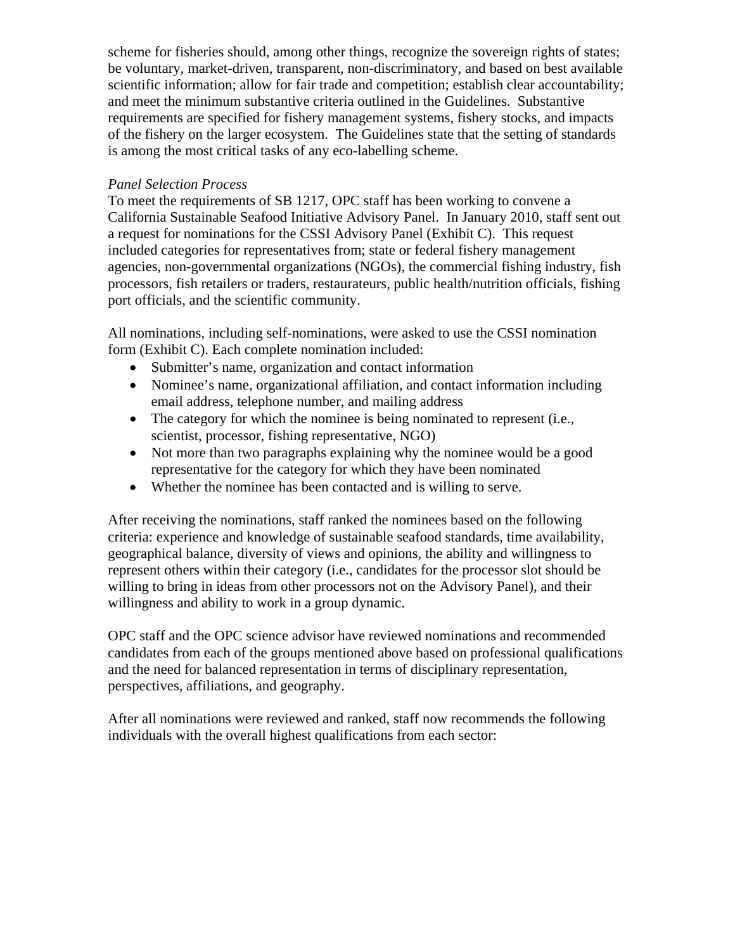scheme for fisheries should, among other things, recognize the sovereign rights of states; be voluntary, market-driven, transparent, non-discriminatory, and based on best available scientific information; allow for fair trade and competition; establish clear accountability; and meet the minimum substantive criteria outlined in the Guidelines. Substantive requirements are specified for fishery management systems, fishery stocks, and impacts of the fishery on the larger ecosystem. The Guidelines state that the setting of standards is among the most critical tasks of any eco-labelling scheme.

#### *Panel Selection Process*

To meet the requirements of SB 1217, OPC staff has been working to convene a California Sustainable Seafood Initiative Advisory Panel. In January 2010, staff sent out a request for nominations for the CSSI Advisory Panel (Exhibit C). This request included categories for representatives from; state or federal fishery management agencies, non-governmental organizations (NGOs), the commercial fishing industry, fish processors, fish retailers or traders, restaurateurs, public health/nutrition officials, fishing port officials, and the scientific community.

All nominations, including self-nominations, were asked to use the CSSI nomination form (Exhibit C). Each complete nomination included:

- Submitter's name, organization and contact information
- Nominee's name, organizational affiliation, and contact information including email address, telephone number, and mailing address
- The category for which the nominee is being nominated to represent (i.e., scientist, processor, fishing representative, NGO)
- Not more than two paragraphs explaining why the nominee would be a good representative for the category for which they have been nominated
- Whether the nominee has been contacted and is willing to serve.

After receiving the nominations, staff ranked the nominees based on the following criteria: experience and knowledge of sustainable seafood standards, time availability, geographical balance, diversity of views and opinions, the ability and willingness to represent others within their category (i.e., candidates for the processor slot should be willing to bring in ideas from other processors not on the Advisory Panel), and their willingness and ability to work in a group dynamic.

OPC staff and the OPC science advisor have reviewed nominations and recommended candidates from each of the groups mentioned above based on professional qualifications and the need for balanced representation in terms of disciplinary representation, perspectives, affiliations, and geography.

After all nominations were reviewed and ranked, staff now recommends the following individuals with the overall highest qualifications from each sector: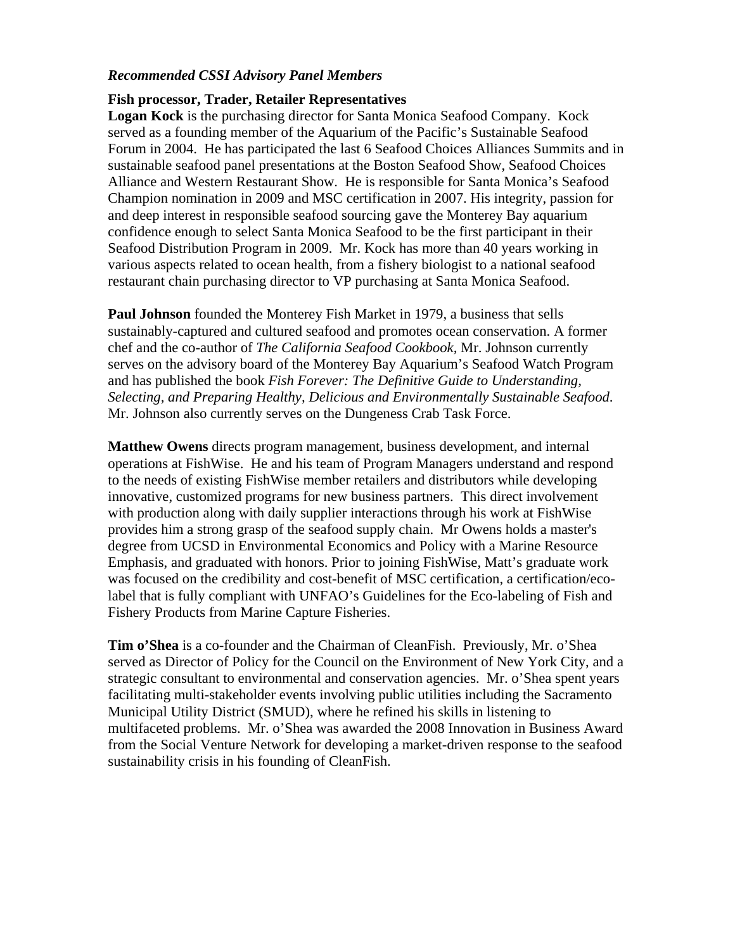#### *Recommended CSSI Advisory Panel Members*

#### **Fish processor, Trader, Retailer Representatives**

**Logan Kock** is the purchasing director for Santa Monica Seafood Company. Kock served as a founding member of the Aquarium of the Pacific's Sustainable Seafood Forum in 2004. He has participated the last 6 Seafood Choices Alliances Summits and in sustainable seafood panel presentations at the Boston Seafood Show, Seafood Choices Alliance and Western Restaurant Show. He is responsible for Santa Monica's Seafood Champion nomination in 2009 and MSC certification in 2007. His integrity, passion for and deep interest in responsible seafood sourcing gave the Monterey Bay aquarium confidence enough to select Santa Monica Seafood to be the first participant in their Seafood Distribution Program in 2009. Mr. Kock has more than 40 years working in various aspects related to ocean health, from a fishery biologist to a national seafood restaurant chain purchasing director to VP purchasing at Santa Monica Seafood.

**Paul Johnson** founded the Monterey Fish Market in 1979, a business that sells sustainably-captured and cultured seafood and promotes ocean conservation. A former chef and the co-author of *The California Seafood Cookbook,* Mr. Johnson currently serves on the advisory board of the Monterey Bay Aquarium's Seafood Watch Program and has published the book *Fish Forever: The Definitive Guide to Understanding, Selecting, and Preparing Healthy, Delicious and Environmentally Sustainable Seafood*. Mr. Johnson also currently serves on the Dungeness Crab Task Force.

**Matthew Owens** directs program management, business development, and internal operations at FishWise. He and his team of Program Managers understand and respond to the needs of existing FishWise member retailers and distributors while developing innovative, customized programs for new business partners. This direct involvement with production along with daily supplier interactions through his work at FishWise provides him a strong grasp of the seafood supply chain. Mr Owens holds a master's degree from UCSD in Environmental Economics and Policy with a Marine Resource Emphasis, and graduated with honors. Prior to joining FishWise, Matt's graduate work was focused on the credibility and cost-benefit of MSC certification, a certification/ecolabel that is fully compliant with UNFAO's Guidelines for the Eco-labeling of Fish and Fishery Products from Marine Capture Fisheries.

**Tim o'Shea** is a co-founder and the Chairman of CleanFish. Previously, Mr. o'Shea served as Director of Policy for the Council on the Environment of New York City, and a strategic consultant to environmental and conservation agencies. Mr. o'Shea spent years facilitating multi-stakeholder events involving public utilities including the Sacramento Municipal Utility District (SMUD), where he refined his skills in listening to multifaceted problems. Mr. o'Shea was awarded the 2008 Innovation in Business Award from the Social Venture Network for developing a market-driven response to the seafood sustainability crisis in his founding of CleanFish.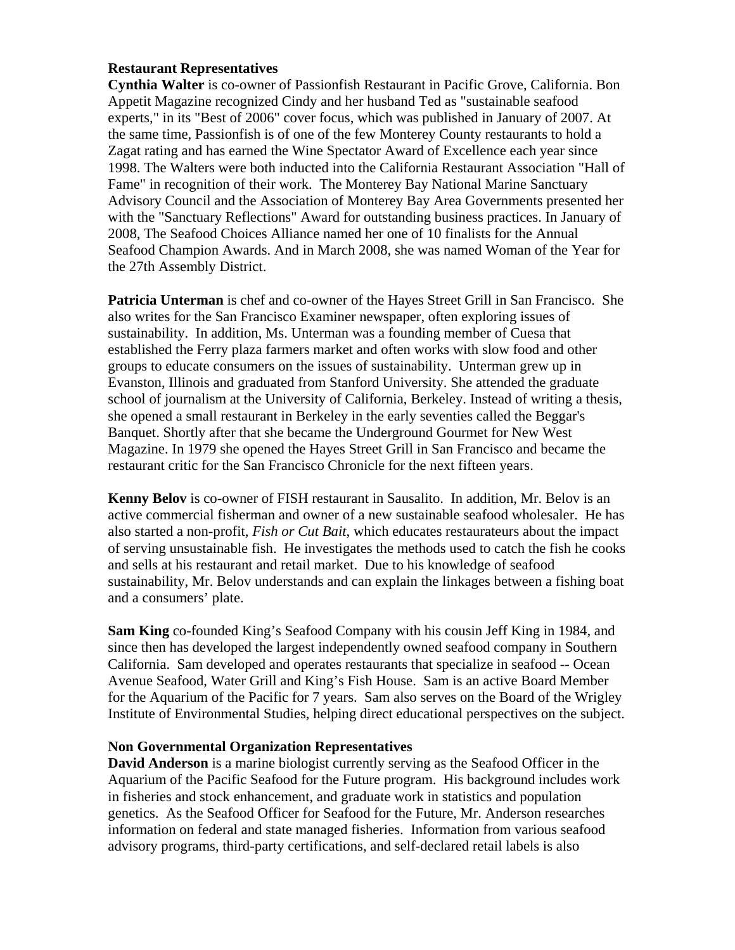## **Restaurant Representatives**

**Cynthia Walter** is co-owner of Passionfish Restaurant in Pacific Grove, California. Bon Appetit Magazine recognized Cindy and her husband Ted as "sustainable seafood experts," in its "Best of 2006" cover focus, which was published in January of 2007. At the same time, Passionfish is of one of the few Monterey County restaurants to hold a Zagat rating and has earned the Wine Spectator Award of Excellence each year since 1998. The Walters were both inducted into the California Restaurant Association "Hall of Fame" in recognition of their work. The Monterey Bay National Marine Sanctuary Advisory Council and the Association of Monterey Bay Area Governments presented her with the "Sanctuary Reflections" Award for outstanding business practices. In January of 2008, The Seafood Choices Alliance named her one of 10 finalists for the Annual Seafood Champion Awards. And in March 2008, she was named Woman of the Year for the 27th Assembly District.

**Patricia Unterman** is chef and co-owner of the Hayes Street Grill in San Francisco. She also writes for the San Francisco Examiner newspaper, often exploring issues of sustainability. In addition, Ms. Unterman was a founding member of Cuesa that established the Ferry plaza farmers market and often works with slow food and other groups to educate consumers on the issues of sustainability. Unterman grew up in Evanston, Illinois and graduated from Stanford University. She attended the graduate school of journalism at the University of California, Berkeley. Instead of writing a thesis, she opened a small restaurant in Berkeley in the early seventies called the Beggar's Banquet. Shortly after that she became the Underground Gourmet for New West Magazine. In 1979 she opened the Hayes Street Grill in San Francisco and became the restaurant critic for the San Francisco Chronicle for the next fifteen years.

**Kenny Belov** is co-owner of FISH restaurant in Sausalito. In addition, Mr. Belov is an active commercial fisherman and owner of a new sustainable seafood wholesaler. He has also started a non-profit, *Fish or Cut Bait*, which educates restaurateurs about the impact of serving unsustainable fish. He investigates the methods used to catch the fish he cooks and sells at his restaurant and retail market. Due to his knowledge of seafood sustainability, Mr. Belov understands and can explain the linkages between a fishing boat and a consumers' plate.

**Sam King** co-founded King's Seafood Company with his cousin Jeff King in 1984, and since then has developed the largest independently owned seafood company in Southern California. Sam developed and operates restaurants that specialize in seafood -- Ocean Avenue Seafood, Water Grill and King's Fish House.Sam is an active Board Member for the Aquarium of the Pacific for 7 years. Sam also serves on the Board of the Wrigley Institute of Environmental Studies, helping direct educational perspectives on the subject.

#### **Non Governmental Organization Representatives**

**David Anderson** is a marine biologist currently serving as the Seafood Officer in the Aquarium of the Pacific Seafood for the Future program. His background includes work in fisheries and stock enhancement, and graduate work in statistics and population genetics. As the Seafood Officer for Seafood for the Future, Mr. Anderson researches information on federal and state managed fisheries. Information from various seafood advisory programs, third-party certifications, and self-declared retail labels is also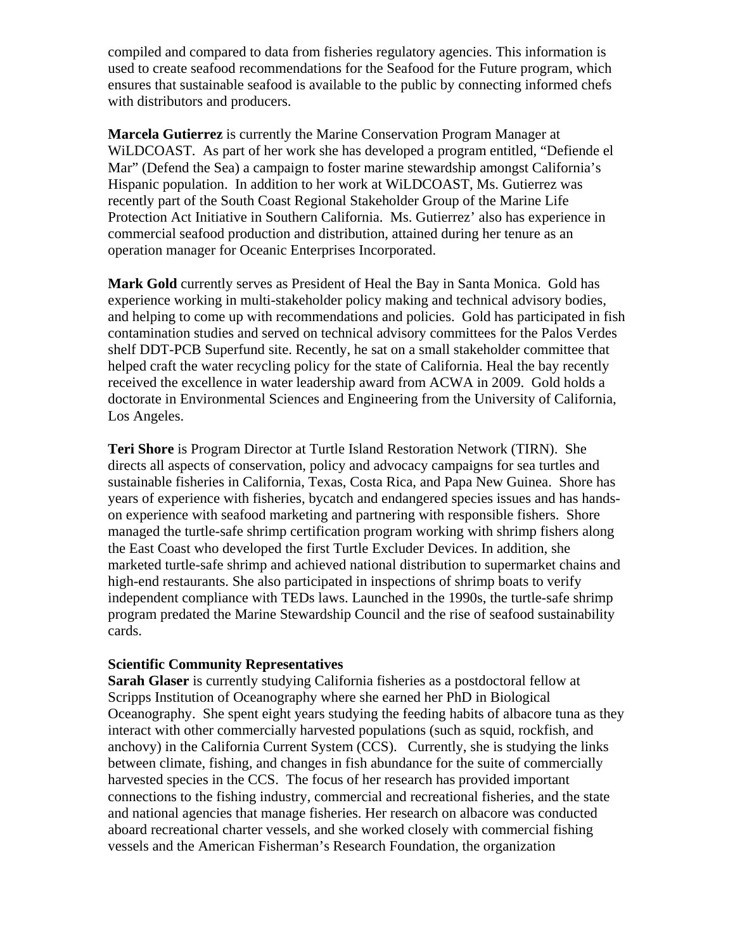compiled and compared to data from fisheries regulatory agencies. This information is used to create seafood recommendations for the Seafood for the Future program, which ensures that sustainable seafood is available to the public by connecting informed chefs with distributors and producers.

**Marcela Gutierrez** is currently the Marine Conservation Program Manager at WiLDCOAST. As part of her work she has developed a program entitled, "Defiende el Mar" (Defend the Sea) a campaign to foster marine stewardship amongst California's Hispanic population. In addition to her work at WiLDCOAST, Ms. Gutierrez was recently part of the South Coast Regional Stakeholder Group of the Marine Life Protection Act Initiative in Southern California. Ms. Gutierrez' also has experience in commercial seafood production and distribution, attained during her tenure as an operation manager for Oceanic Enterprises Incorporated.

**Mark Gold** currently serves as President of Heal the Bay in Santa Monica. Gold has experience working in multi-stakeholder policy making and technical advisory bodies, and helping to come up with recommendations and policies. Gold has participated in fish contamination studies and served on technical advisory committees for the Palos Verdes shelf DDT-PCB Superfund site. Recently, he sat on a small stakeholder committee that helped craft the water recycling policy for the state of California. Heal the bay recently received the excellence in water leadership award from ACWA in 2009. Gold holds a doctorate in Environmental Sciences and Engineering from the University of California, Los Angeles.

**Teri Shore** is Program Director at Turtle Island Restoration Network (TIRN). She directs all aspects of conservation, policy and advocacy campaigns for sea turtles and sustainable fisheries in California, Texas, Costa Rica, and Papa New Guinea. Shore has years of experience with fisheries, bycatch and endangered species issues and has handson experience with seafood marketing and partnering with responsible fishers. Shore managed the turtle-safe shrimp certification program working with shrimp fishers along the East Coast who developed the first Turtle Excluder Devices. In addition, she marketed turtle-safe shrimp and achieved national distribution to supermarket chains and high-end restaurants. She also participated in inspections of shrimp boats to verify independent compliance with TEDs laws. Launched in the 1990s, the turtle-safe shrimp program predated the Marine Stewardship Council and the rise of seafood sustainability cards.

#### **Scientific Community Representatives**

**Sarah Glaser** is currently studying California fisheries as a postdoctoral fellow at Scripps Institution of Oceanography where she earned her PhD in Biological Oceanography. She spent eight years studying the feeding habits of albacore tuna as they interact with other commercially harvested populations (such as squid, rockfish, and anchovy) in the California Current System (CCS). Currently, she is studying the links between climate, fishing, and changes in fish abundance for the suite of commercially harvested species in the CCS. The focus of her research has provided important connections to the fishing industry, commercial and recreational fisheries, and the state and national agencies that manage fisheries. Her research on albacore was conducted aboard recreational charter vessels, and she worked closely with commercial fishing vessels and the American Fisherman's Research Foundation, the organization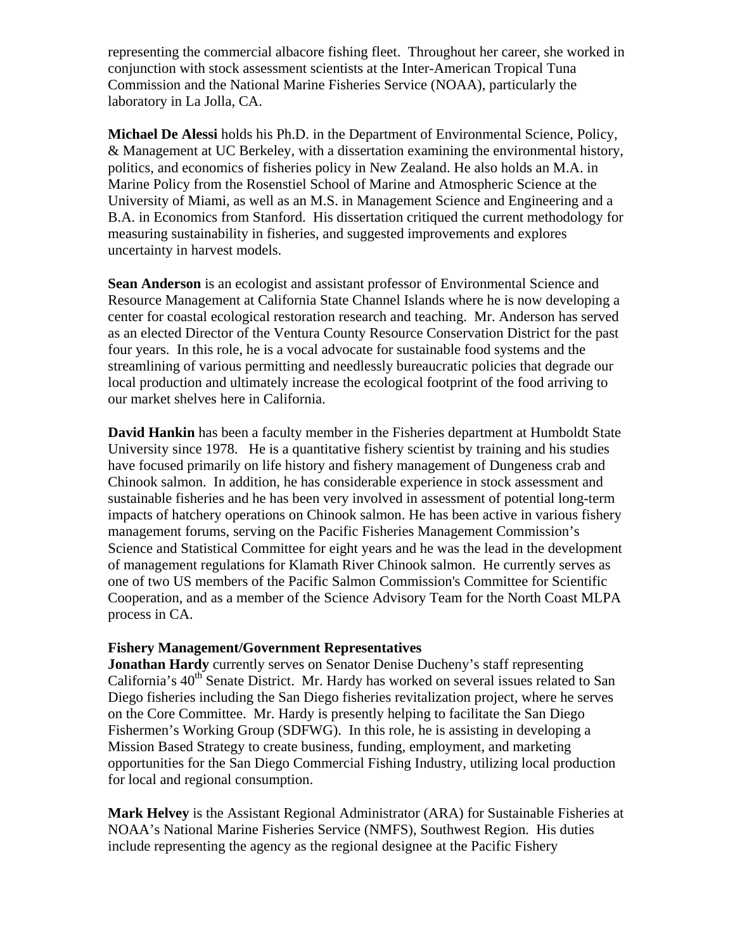representing the commercial albacore fishing fleet. Throughout her career, she worked in conjunction with stock assessment scientists at the Inter-American Tropical Tuna Commission and the National Marine Fisheries Service (NOAA), particularly the laboratory in La Jolla, CA.

**Michael De Alessi** holds his Ph.D. in the Department of Environmental Science, Policy, & Management at UC Berkeley, with a dissertation examining the environmental history, politics, and economics of fisheries policy in New Zealand. He also holds an M.A. in Marine Policy from the Rosenstiel School of Marine and Atmospheric Science at the University of Miami, as well as an M.S. in Management Science and Engineering and a B.A. in Economics from Stanford. His dissertation critiqued the current methodology for measuring sustainability in fisheries, and suggested improvements and explores uncertainty in harvest models.

**Sean Anderson** is an ecologist and assistant professor of Environmental Science and Resource Management at California State Channel Islands where he is now developing a center for coastal ecological restoration research and teaching.Mr. Anderson has served as an elected Director of the Ventura County Resource Conservation District for the past four years. In this role, he is a vocal advocate for sustainable food systems and the streamlining of various permitting and needlessly bureaucratic policies that degrade our local production and ultimately increase the ecological footprint of the food arriving to our market shelves here in California.

**David Hankin** has been a faculty member in the Fisheries department at Humboldt State University since 1978. He is a quantitative fishery scientist by training and his studies have focused primarily on life history and fishery management of Dungeness crab and Chinook salmon. In addition, he has considerable experience in stock assessment and sustainable fisheries and he has been very involved in assessment of potential long-term impacts of hatchery operations on Chinook salmon. He has been active in various fishery management forums, serving on the Pacific Fisheries Management Commission's Science and Statistical Committee for eight years and he was the lead in the development of management regulations for Klamath River Chinook salmon. He currently serves as one of two US members of the Pacific Salmon Commission's Committee for Scientific Cooperation, and as a member of the Science Advisory Team for the North Coast MLPA process in CA.

#### **Fishery Management/Government Representatives**

**Jonathan Hardy** currently serves on Senator Denise Ducheny's staff representing California's  $40<sup>th</sup>$  Senate District. Mr. Hardy has worked on several issues related to San Diego fisheries including the San Diego fisheries revitalization project, where he serves on the Core Committee. Mr. Hardy is presently helping to facilitate the San Diego Fishermen's Working Group (SDFWG). In this role, he is assisting in developing a Mission Based Strategy to create business, funding, employment, and marketing opportunities for the San Diego Commercial Fishing Industry, utilizing local production for local and regional consumption.

**Mark Helvey** is the Assistant Regional Administrator (ARA) for Sustainable Fisheries at NOAA's National Marine Fisheries Service (NMFS), Southwest Region. His duties include representing the agency as the regional designee at the Pacific Fishery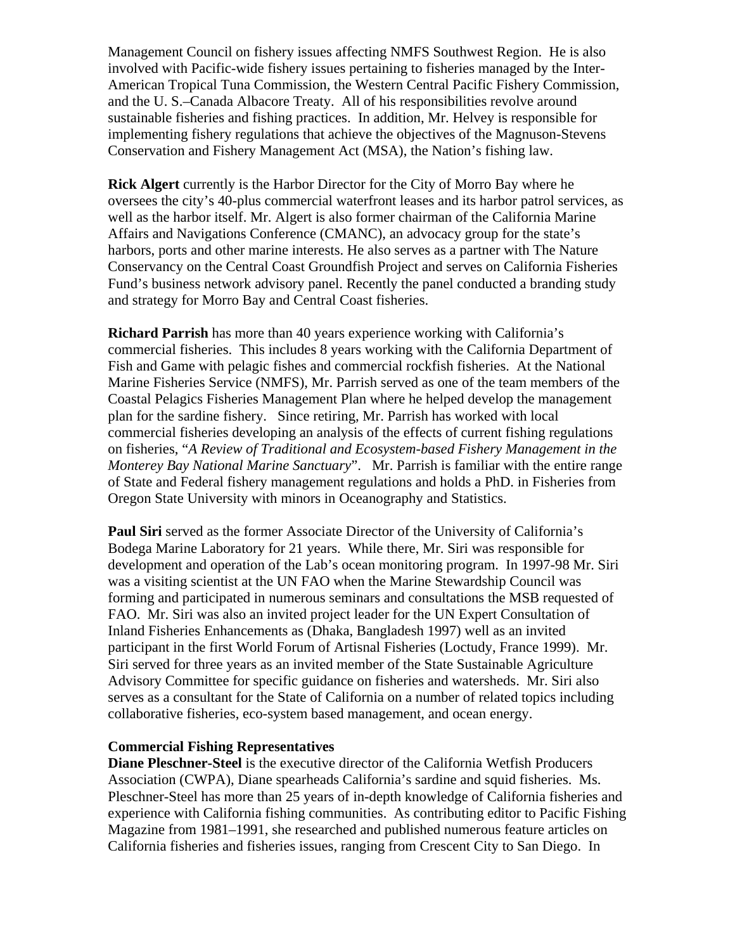Management Council on fishery issues affecting NMFS Southwest Region. He is also involved with Pacific-wide fishery issues pertaining to fisheries managed by the Inter-American Tropical Tuna Commission, the Western Central Pacific Fishery Commission, and the U. S.–Canada Albacore Treaty. All of his responsibilities revolve around sustainable fisheries and fishing practices. In addition, Mr. Helvey is responsible for implementing fishery regulations that achieve the objectives of the Magnuson-Stevens Conservation and Fishery Management Act (MSA), the Nation's fishing law.

**Rick Algert** currently is the Harbor Director for the City of Morro Bay where he oversees the city's 40-plus commercial waterfront leases and its harbor patrol services, as well as the harbor itself. Mr. Algert is also former chairman of the California Marine Affairs and Navigations Conference (CMANC), an advocacy group for the state's harbors, ports and other marine interests. He also serves as a partner with The Nature Conservancy on the Central Coast Groundfish Project and serves on California Fisheries Fund's business network advisory panel. Recently the panel conducted a branding study and strategy for Morro Bay and Central Coast fisheries.

**Richard Parrish** has more than 40 years experience working with California's commercial fisheries. This includes 8 years working with the California Department of Fish and Game with pelagic fishes and commercial rockfish fisheries. At the National Marine Fisheries Service (NMFS), Mr. Parrish served as one of the team members of the Coastal Pelagics Fisheries Management Plan where he helped develop the management plan for the sardine fishery. Since retiring, Mr. Parrish has worked with local commercial fisheries developing an analysis of the effects of current fishing regulations on fisheries, "*A Review of Traditional and Ecosystem-based Fishery Management in the Monterey Bay National Marine Sanctuary*". Mr. Parrish is familiar with the entire range of State and Federal fishery management regulations and holds a PhD. in Fisheries from Oregon State University with minors in Oceanography and Statistics.

**Paul Siri** served as the former Associate Director of the University of California's Bodega Marine Laboratory for 21 years. While there, Mr. Siri was responsible for development and operation of the Lab's ocean monitoring program. In 1997-98 Mr. Siri was a visiting scientist at the UN FAO when the Marine Stewardship Council was forming and participated in numerous seminars and consultations the MSB requested of FAO. Mr. Siri was also an invited project leader for the UN Expert Consultation of Inland Fisheries Enhancements as (Dhaka, Bangladesh 1997) well as an invited participant in the first World Forum of Artisnal Fisheries (Loctudy, France 1999). Mr. Siri served for three years as an invited member of the State Sustainable Agriculture Advisory Committee for specific guidance on fisheries and watersheds. Mr. Siri also serves as a consultant for the State of California on a number of related topics including collaborative fisheries, eco-system based management, and ocean energy.

#### **Commercial Fishing Representatives**

**Diane Pleschner-Steel** is the executive director of the California Wetfish Producers Association (CWPA), Diane spearheads California's sardine and squid fisheries. Ms. Pleschner-Steel has more than 25 years of in-depth knowledge of California fisheries and experience with California fishing communities. As contributing editor to Pacific Fishing Magazine from 1981–1991, she researched and published numerous feature articles on California fisheries and fisheries issues, ranging from Crescent City to San Diego. In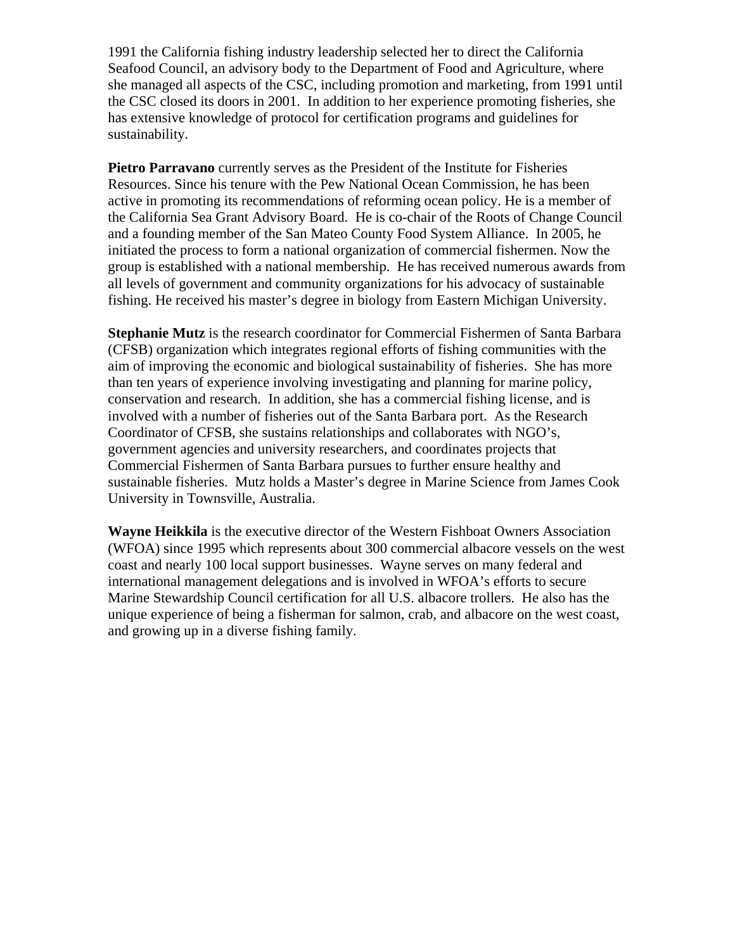1991 the California fishing industry leadership selected her to direct the California Seafood Council, an advisory body to the Department of Food and Agriculture, where she managed all aspects of the CSC, including promotion and marketing, from 1991 until the CSC closed its doors in 2001. In addition to her experience promoting fisheries, she has extensive knowledge of protocol for certification programs and guidelines for sustainability.

**Pietro Parravano** currently serves as the President of the Institute for Fisheries Resources. Since his tenure with the Pew National Ocean Commission, he has been active in promoting its recommendations of reforming ocean policy. He is a member of the California Sea Grant Advisory Board. He is co-chair of the Roots of Change Council and a founding member of the San Mateo County Food System Alliance. In 2005, he initiated the process to form a national organization of commercial fishermen. Now the group is established with a national membership. He has received numerous awards from all levels of government and community organizations for his advocacy of sustainable fishing. He received his master's degree in biology from Eastern Michigan University.

**Stephanie Mutz** is the research coordinator for Commercial Fishermen of Santa Barbara (CFSB) organization which integrates regional efforts of fishing communities with the aim of improving the economic and biological sustainability of fisheries. She has more than ten years of experience involving investigating and planning for marine policy, conservation and research. In addition, she has a commercial fishing license, and is involved with a number of fisheries out of the Santa Barbara port. As the Research Coordinator of CFSB, she sustains relationships and collaborates with NGO's, government agencies and university researchers, and coordinates projects that Commercial Fishermen of Santa Barbara pursues to further ensure healthy and sustainable fisheries. Mutz holds a Master's degree in Marine Science from James Cook University in Townsville, Australia.

**Wayne Heikkila** is the executive director of the Western Fishboat Owners Association (WFOA) since 1995 which represents about 300 commercial albacore vessels on the west coast and nearly 100 local support businesses. Wayne serves on many federal and international management delegations and is involved in WFOA's efforts to secure Marine Stewardship Council certification for all U.S. albacore trollers. He also has the unique experience of being a fisherman for salmon, crab, and albacore on the west coast, and growing up in a diverse fishing family.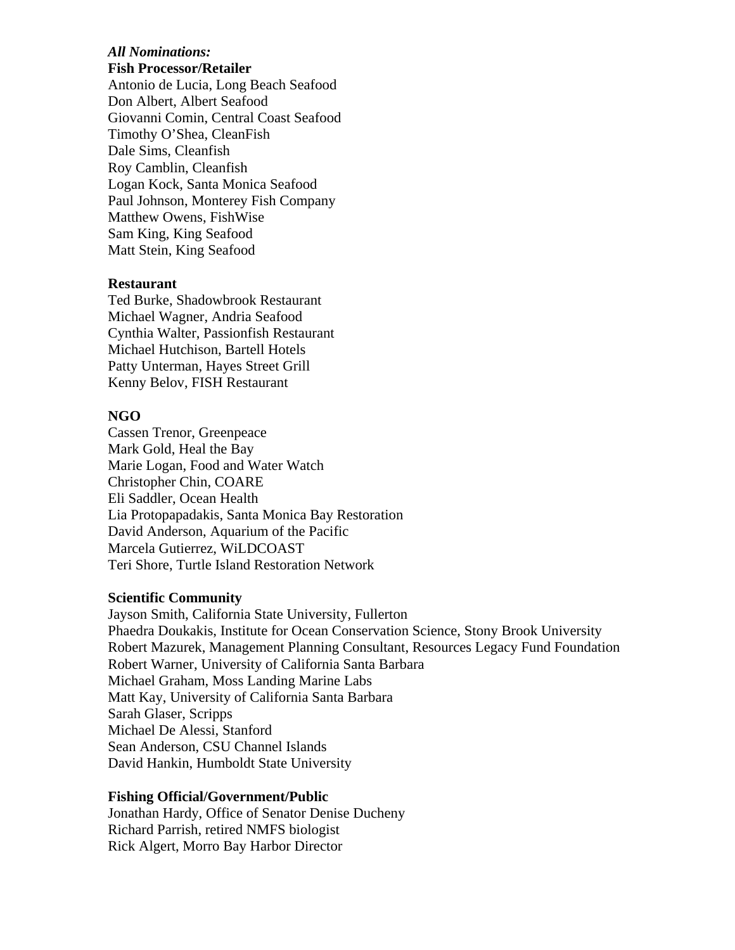#### *All Nominations:*  **Fish Processor/Retailer**

Antonio de Lucia, Long Beach Seafood Don Albert, Albert Seafood Giovanni Comin, Central Coast Seafood Timothy O'Shea, CleanFish Dale Sims, Cleanfish Roy Camblin, Cleanfish Logan Kock, Santa Monica Seafood Paul Johnson, Monterey Fish Company Matthew Owens, FishWise Sam King, King Seafood Matt Stein, King Seafood

#### **Restaurant**

Ted Burke, Shadowbrook Restaurant Michael Wagner, Andria Seafood Cynthia Walter, Passionfish Restaurant Michael Hutchison, Bartell Hotels Patty Unterman, Hayes Street Grill Kenny Belov, FISH Restaurant

#### **NGO**

Cassen Trenor, Greenpeace Mark Gold, Heal the Bay Marie Logan, Food and Water Watch Christopher Chin, COARE Eli Saddler, Ocean Health Lia Protopapadakis, Santa Monica Bay Restoration David Anderson, Aquarium of the Pacific Marcela Gutierrez, WiLDCOAST Teri Shore, Turtle Island Restoration Network

#### **Scientific Community**

Jayson Smith, California State University, Fullerton Phaedra Doukakis, Institute for Ocean Conservation Science, Stony Brook University Robert Mazurek, Management Planning Consultant, Resources Legacy Fund Foundation Robert Warner, University of California Santa Barbara Michael Graham, Moss Landing Marine Labs Matt Kay, University of California Santa Barbara Sarah Glaser, Scripps Michael De Alessi, Stanford Sean Anderson, CSU Channel Islands David Hankin, Humboldt State University

#### **Fishing Official/Government/Public**

Jonathan Hardy, Office of Senator Denise Ducheny Richard Parrish, retired NMFS biologist Rick Algert, Morro Bay Harbor Director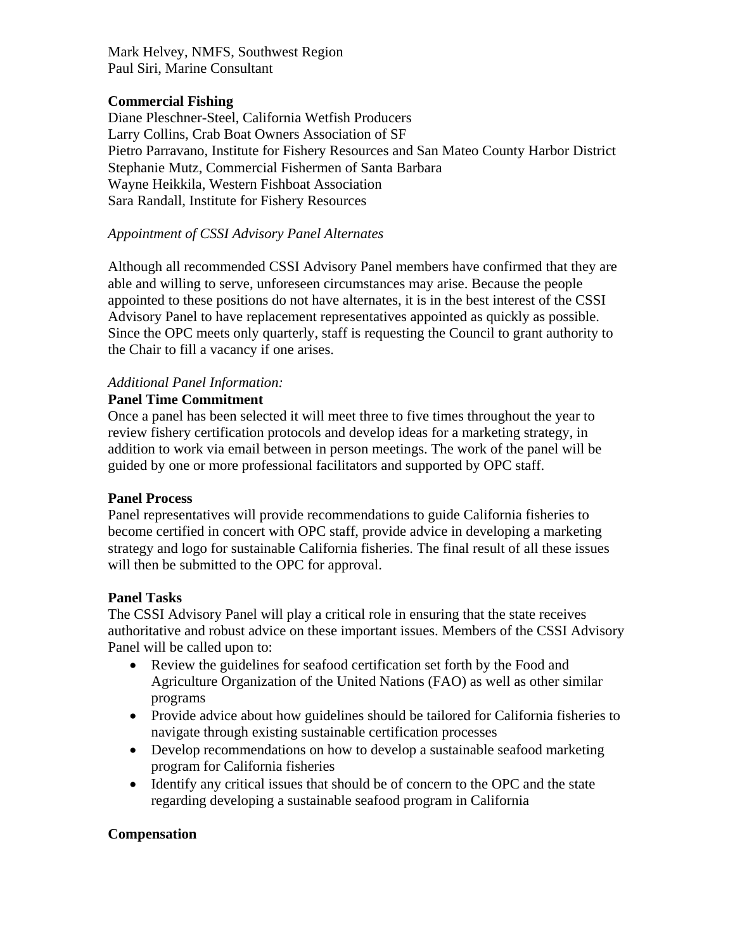Mark Helvey, NMFS, Southwest Region Paul Siri, Marine Consultant

#### **Commercial Fishing**

Diane Pleschner-Steel, California Wetfish Producers Larry Collins, Crab Boat Owners Association of SF Pietro Parravano, Institute for Fishery Resources and San Mateo County Harbor District Stephanie Mutz, Commercial Fishermen of Santa Barbara Wayne Heikkila, Western Fishboat Association Sara Randall, Institute for Fishery Resources

## *Appointment of CSSI Advisory Panel Alternates*

Although all recommended CSSI Advisory Panel members have confirmed that they are able and willing to serve, unforeseen circumstances may arise. Because the people appointed to these positions do not have alternates, it is in the best interest of the CSSI Advisory Panel to have replacement representatives appointed as quickly as possible. Since the OPC meets only quarterly, staff is requesting the Council to grant authority to the Chair to fill a vacancy if one arises.

# *Additional Panel Information:*

## **Panel Time Commitment**

Once a panel has been selected it will meet three to five times throughout the year to review fishery certification protocols and develop ideas for a marketing strategy, in addition to work via email between in person meetings. The work of the panel will be guided by one or more professional facilitators and supported by OPC staff.

#### **Panel Process**

Panel representatives will provide recommendations to guide California fisheries to become certified in concert with OPC staff, provide advice in developing a marketing strategy and logo for sustainable California fisheries. The final result of all these issues will then be submitted to the OPC for approval.

#### **Panel Tasks**

The CSSI Advisory Panel will play a critical role in ensuring that the state receives authoritative and robust advice on these important issues. Members of the CSSI Advisory Panel will be called upon to:

- Review the guidelines for seafood certification set forth by the Food and Agriculture Organization of the United Nations (FAO) as well as other similar programs
- Provide advice about how guidelines should be tailored for California fisheries to navigate through existing sustainable certification processes
- Develop recommendations on how to develop a sustainable seafood marketing program for California fisheries
- Identify any critical issues that should be of concern to the OPC and the state regarding developing a sustainable seafood program in California

#### **Compensation**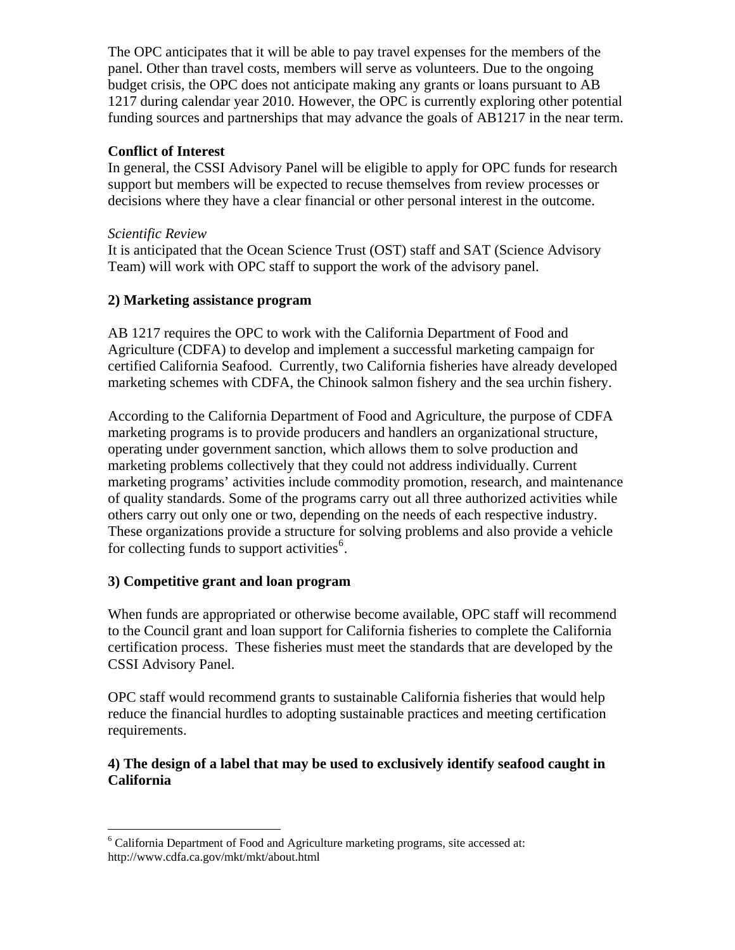The OPC anticipates that it will be able to pay travel expenses for the members of the panel. Other than travel costs, members will serve as volunteers. Due to the ongoing budget crisis, the OPC does not anticipate making any grants or loans pursuant to AB 1217 during calendar year 2010. However, the OPC is currently exploring other potential funding sources and partnerships that may advance the goals of AB1217 in the near term.

## **Conflict of Interest**

In general, the CSSI Advisory Panel will be eligible to apply for OPC funds for research support but members will be expected to recuse themselves from review processes or decisions where they have a clear financial or other personal interest in the outcome.

## *Scientific Review*

It is anticipated that the Ocean Science Trust (OST) staff and SAT (Science Advisory Team) will work with OPC staff to support the work of the advisory panel.

## **2) Marketing assistance program**

AB 1217 requires the OPC to work with the California Department of Food and Agriculture (CDFA) to develop and implement a successful marketing campaign for certified California Seafood. Currently, two California fisheries have already developed marketing schemes with CDFA, the Chinook salmon fishery and the sea urchin fishery.

According to the California Department of Food and Agriculture, the purpose of CDFA marketing programs is to provide producers and handlers an organizational structure, operating under government sanction, which allows them to solve production and marketing problems collectively that they could not address individually. Current marketing programs' activities include commodity promotion, research, and maintenance of quality standards. Some of the programs carry out all three authorized activities while others carry out only one or two, depending on the needs of each respective industry. These organizations provide a structure for solving problems and also provide a vehicle for collecting funds to support activities<sup>[6](#page-12-0)</sup>.

## **3) Competitive grant and loan program**

When funds are appropriated or otherwise become available, OPC staff will recommend to the Council grant and loan support for California fisheries to complete the California certification process. These fisheries must meet the standards that are developed by the CSSI Advisory Panel.

OPC staff would recommend grants to sustainable California fisheries that would help reduce the financial hurdles to adopting sustainable practices and meeting certification requirements.

## **4) The design of a label that may be used to exclusively identify seafood caught in California**

<span id="page-12-0"></span> 6 California Department of Food and Agriculture marketing programs, site accessed at: http://www.cdfa.ca.gov/mkt/mkt/about.html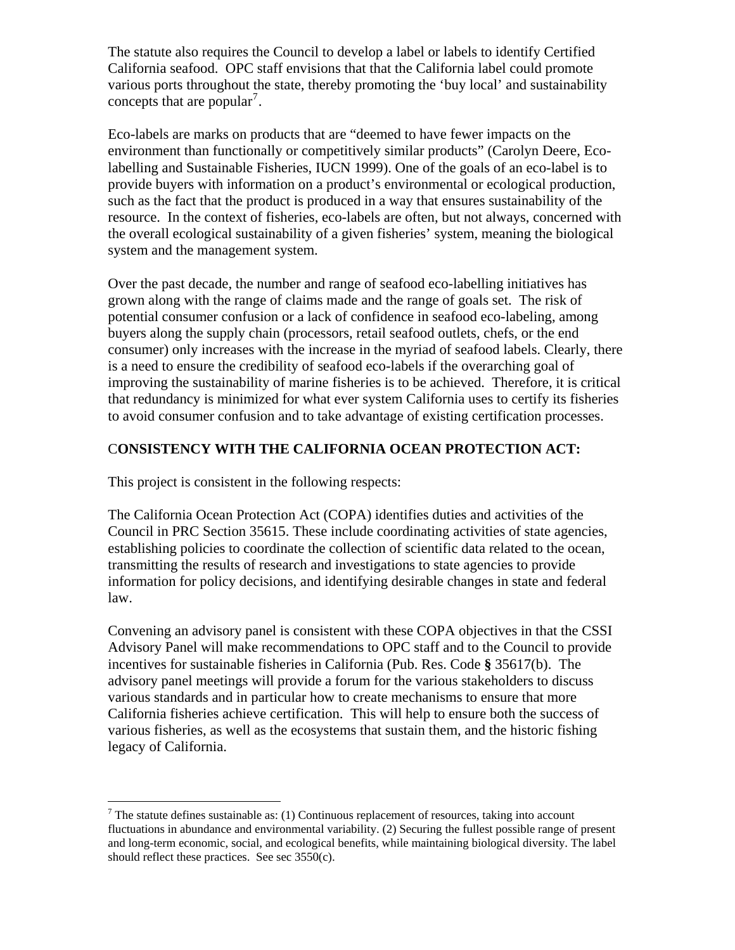The statute also requires the Council to develop a label or labels to identify Certified California seafood. OPC staff envisions that that the California label could promote various ports throughout the state, thereby promoting the 'buy local' and sustainability concepts that are popular<sup>[7](#page-13-0)</sup>.

Eco-labels are marks on products that are "deemed to have fewer impacts on the environment than functionally or competitively similar products" (Carolyn Deere, Ecolabelling and Sustainable Fisheries, IUCN 1999). One of the goals of an eco-label is to provide buyers with information on a product's environmental or ecological production, such as the fact that the product is produced in a way that ensures sustainability of the resource. In the context of fisheries, eco-labels are often, but not always, concerned with the overall ecological sustainability of a given fisheries' system, meaning the biological system and the management system.

Over the past decade, the number and range of seafood eco-labelling initiatives has grown along with the range of claims made and the range of goals set. The risk of potential consumer confusion or a lack of confidence in seafood eco-labeling, among buyers along the supply chain (processors, retail seafood outlets, chefs, or the end consumer) only increases with the increase in the myriad of seafood labels. Clearly, there is a need to ensure the credibility of seafood eco-labels if the overarching goal of improving the sustainability of marine fisheries is to be achieved. Therefore, it is critical that redundancy is minimized for what ever system California uses to certify its fisheries to avoid consumer confusion and to take advantage of existing certification processes.

# C**ONSISTENCY WITH THE CALIFORNIA OCEAN PROTECTION ACT:**

This project is consistent in the following respects:

 $\overline{a}$ 

The California Ocean Protection Act (COPA) identifies duties and activities of the Council in PRC Section 35615. These include coordinating activities of state agencies, establishing policies to coordinate the collection of scientific data related to the ocean, transmitting the results of research and investigations to state agencies to provide information for policy decisions, and identifying desirable changes in state and federal law.

Convening an advisory panel is consistent with these COPA objectives in that the CSSI Advisory Panel will make recommendations to OPC staff and to the Council to provide incentives for sustainable fisheries in California (Pub. Res. Code **§** 35617(b). The advisory panel meetings will provide a forum for the various stakeholders to discuss various standards and in particular how to create mechanisms to ensure that more California fisheries achieve certification. This will help to ensure both the success of various fisheries, as well as the ecosystems that sustain them, and the historic fishing legacy of California.

<span id="page-13-0"></span> $7$  The statute defines sustainable as: (1) Continuous replacement of resources, taking into account fluctuations in abundance and environmental variability. (2) Securing the fullest possible range of present and long-term economic, social, and ecological benefits, while maintaining biological diversity. The label should reflect these practices. See sec 3550(c).